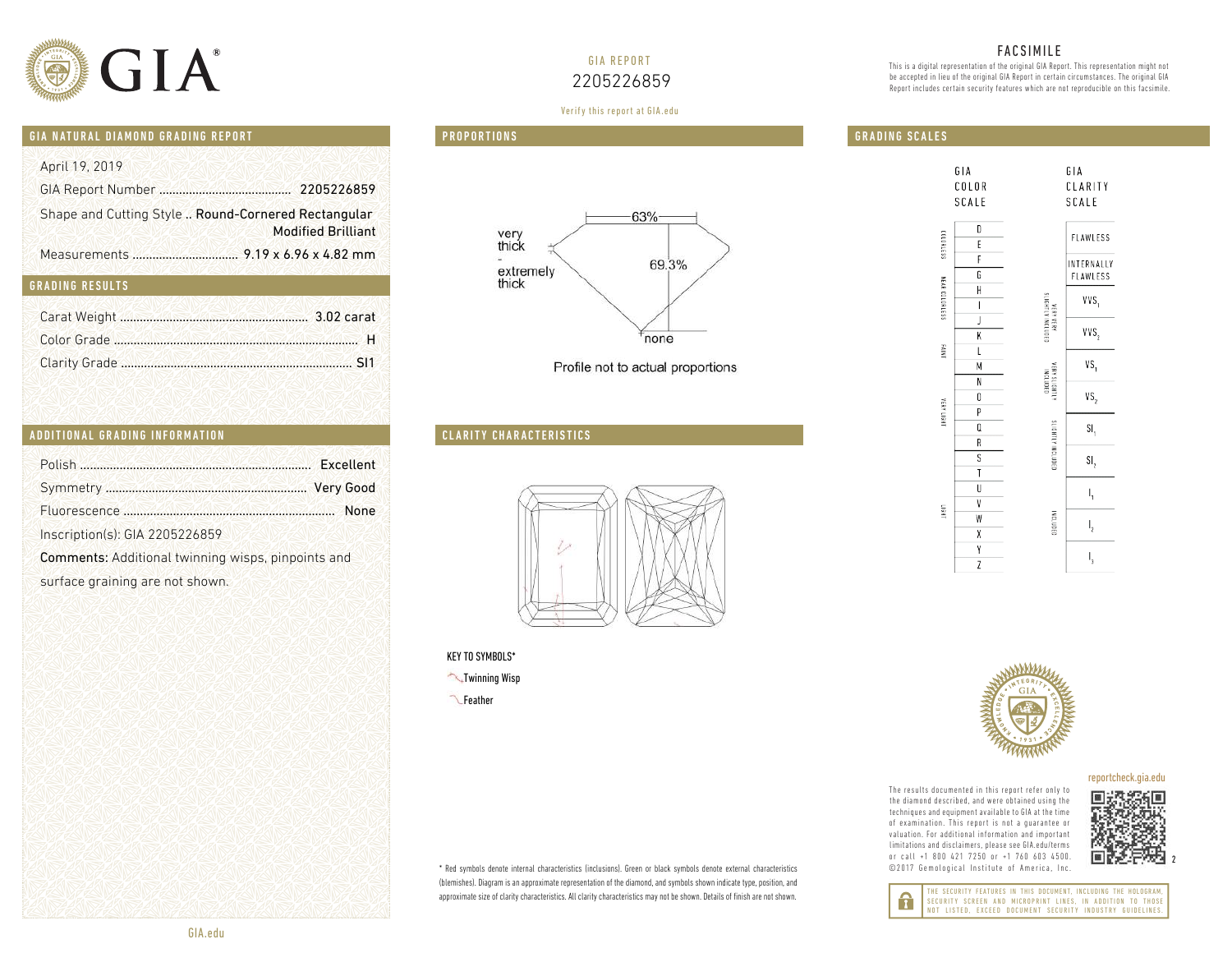

# GIA REPORT 2205226859

### FACSIMILE

This is a digital representation of the original GIA Report. This representation might not be accepted in lieu of the original GIA Report in certain circumstances. The original GIA Report includes certain security features which are not reproducible on this facsimile.

# GIA NATURAL DIAMOND GRADING REPORT

| April 19, 2019<br>Shape and Cutting Style  Round-Cornered Rectangular<br><b>Modified Brilliant</b><br><b>GRADING RESULTS</b>                                                              |
|-------------------------------------------------------------------------------------------------------------------------------------------------------------------------------------------|
| ADDITIONAL GRADING INFORMATION                                                                                                                                                            |
| Polish <b>Manual Accord Polish Provident</b> Excellent<br>None<br>Inscription(s): GIA 2205226859<br>Comments: Additional twinning wisps, pinpoints and<br>surface graining are not shown. |

### GRADING RESULTS

| ADDITIONAL GRADING INFORMATION |           |
|--------------------------------|-----------|
| Polish                         | Excellent |
|                                |           |
|                                | None      |

# **PROPORTIONS** Verify this report at GIA.edu Verify this report at gia.edu







- KEY TO SYMBOLS\*

 Twinning Wisp  Feather







### reportcheck.gia.edu

The results documented in this report refer only to The results documented in this report refer only to<br>the diamond described, and were obtained using the<br>techniques and equipment available to GIA at the time<br>of examination. This report is not a guarantee or techniques and equipment available to GIA at the time of examination. This report is not a guarantee or valuation. For additional information and important limitations and disclaimers, please see GIA.edu/terms or call +1 800 421 7250 or +1 760 603 4500. or call +1 800 421 7250 or +1 760 603 4500.<br>©2017 Gemological Institute of America, Inc.



 $\overline{c}$ 

2

THE SECURITY FEATURES IN THIS DOCUMENT, INCLUDING THE HOLOGRAM, SECURITY SCREEN AND MICROPRINT LINES, IN ADDITION TO THOSE NOT LISTED, EXCEED DOCUMENT SECURITY INDUSTRY GUIDELINES.

\* Red symbols denote internal characteristics (inclusions). Green or black symbols denote external characteristics 

 
  

  

 (blemishes). Diagram is an approximate representation of the diamond, and symbols shown indicate type, position, and 
 
  

  

   

  approximate size of clarity characteristics. All clarity characteristics may not be shown. Details of finish are not shown.